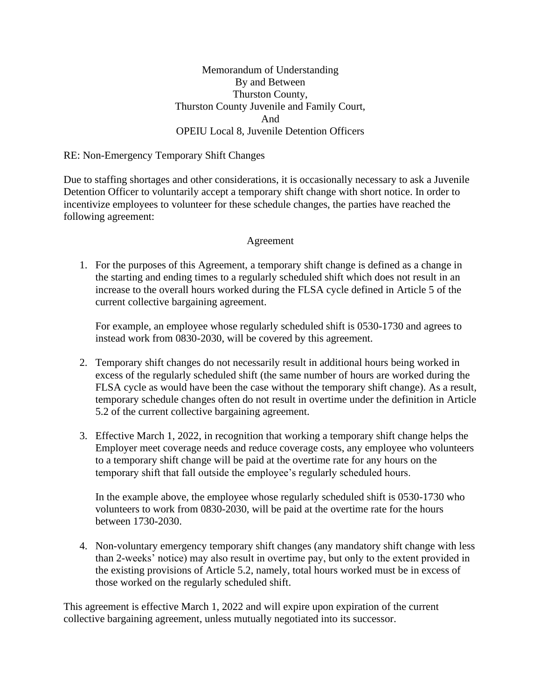## Memorandum of Understanding By and Between Thurston County, Thurston County Juvenile and Family Court, And OPEIU Local 8, Juvenile Detention Officers

### RE: Non-Emergency Temporary Shift Changes

Due to staffing shortages and other considerations, it is occasionally necessary to ask a Juvenile Detention Officer to voluntarily accept a temporary shift change with short notice. In order to incentivize employees to volunteer for these schedule changes, the parties have reached the following agreement:

## Agreement

1. For the purposes of this Agreement, a temporary shift change is defined as a change in the starting and ending times to a regularly scheduled shift which does not result in an increase to the overall hours worked during the FLSA cycle defined in Article 5 of the current collective bargaining agreement.

For example, an employee whose regularly scheduled shift is 0530-1730 and agrees to instead work from 0830-2030, will be covered by this agreement.

- 2. Temporary shift changes do not necessarily result in additional hours being worked in excess of the regularly scheduled shift (the same number of hours are worked during the FLSA cycle as would have been the case without the temporary shift change). As a result, temporary schedule changes often do not result in overtime under the definition in Article 5.2 of the current collective bargaining agreement.
- 3. Effective March 1, 2022, in recognition that working a temporary shift change helps the Employer meet coverage needs and reduce coverage costs, any employee who volunteers to a temporary shift change will be paid at the overtime rate for any hours on the temporary shift that fall outside the employee's regularly scheduled hours.

In the example above, the employee whose regularly scheduled shift is 0530-1730 who volunteers to work from 0830-2030, will be paid at the overtime rate for the hours between 1730-2030.

4. Non-voluntary emergency temporary shift changes (any mandatory shift change with less than 2-weeks' notice) may also result in overtime pay, but only to the extent provided in the existing provisions of Article 5.2, namely, total hours worked must be in excess of those worked on the regularly scheduled shift.

This agreement is effective March 1, 2022 and will expire upon expiration of the current collective bargaining agreement, unless mutually negotiated into its successor.